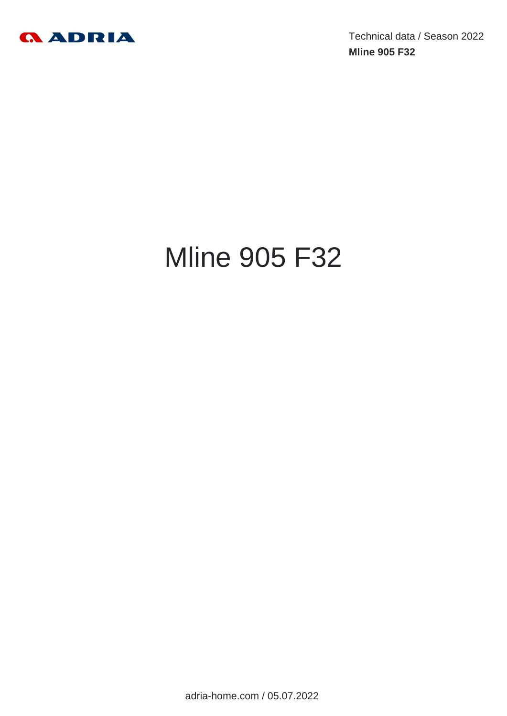

Technical data / Season 2022 **Mline 905 F32**

# Mline 905 F32

adria-home.com / 05.07.2022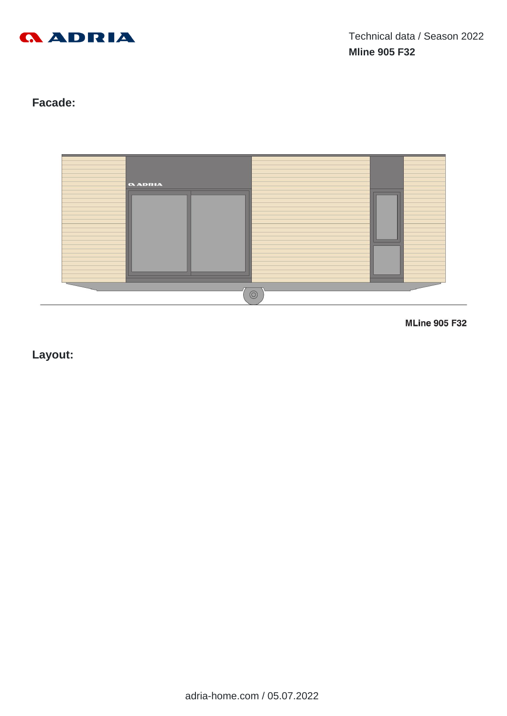

# **Facade:**



**MLine 905 F32** 

**Layout:**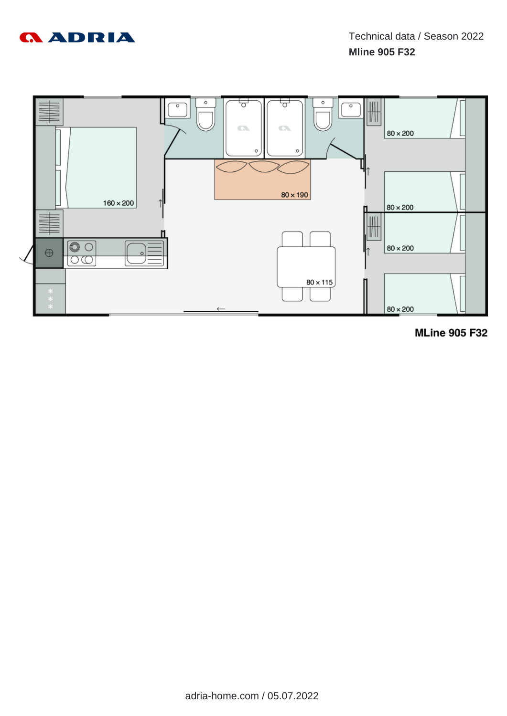



**MLine 905 F32**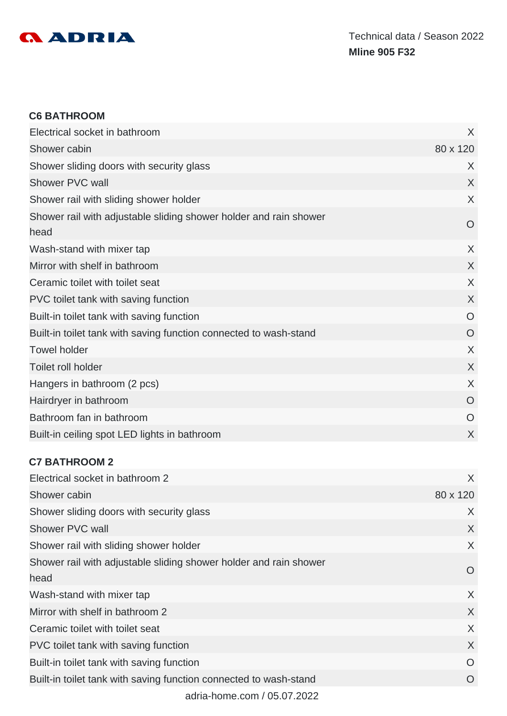

#### **C6 BATHROOM**

| Electrical socket in bathroom                                             | X        |
|---------------------------------------------------------------------------|----------|
| Shower cabin                                                              | 80 x 120 |
| Shower sliding doors with security glass                                  | X        |
| Shower PVC wall                                                           | X        |
| Shower rail with sliding shower holder                                    | X        |
| Shower rail with adjustable sliding shower holder and rain shower<br>head | O        |
| Wash-stand with mixer tap                                                 | X        |
| Mirror with shelf in bathroom                                             | X        |
| Ceramic toilet with toilet seat                                           | X        |
| PVC toilet tank with saving function                                      | X        |
| Built-in toilet tank with saving function                                 | O        |
| Built-in toilet tank with saving function connected to wash-stand         | O        |
| <b>Towel holder</b>                                                       | X        |
| Toilet roll holder                                                        | X        |
| Hangers in bathroom (2 pcs)                                               | X        |
| Hairdryer in bathroom                                                     | O        |
| Bathroom fan in bathroom                                                  | O        |
| Built-in ceiling spot LED lights in bathroom                              | X        |

## **C7 BATHROOM 2**

| Electrical socket in bathroom 2                                           | X              |
|---------------------------------------------------------------------------|----------------|
| Shower cabin                                                              | 80 x 120       |
| Shower sliding doors with security glass                                  | X              |
| Shower PVC wall                                                           | X              |
| Shower rail with sliding shower holder                                    | $\sf X$        |
| Shower rail with adjustable sliding shower holder and rain shower<br>head | $\overline{O}$ |
| Wash-stand with mixer tap                                                 | X              |
| Mirror with shelf in bathroom 2                                           | X              |
| Ceramic toilet with toilet seat                                           | X              |
| PVC toilet tank with saving function                                      | X              |
| Built-in toilet tank with saving function                                 | $\Omega$       |
| Built-in toilet tank with saving function connected to wash-stand         | O              |
| adria-home.com / 05.07.2022                                               |                |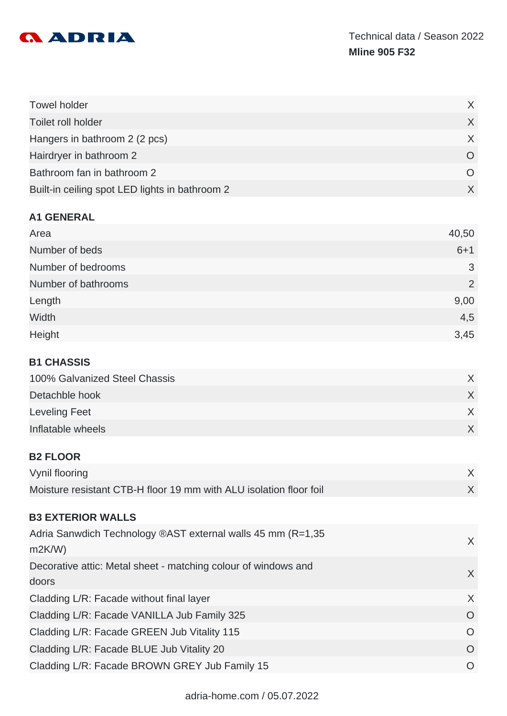

| <b>Towel holder</b>                            |                  |
|------------------------------------------------|------------------|
| Toilet roll holder                             |                  |
| Hangers in bathroom 2 (2 pcs)                  |                  |
| Hairdryer in bathroom 2                        | $\left( \right)$ |
| Bathroom fan in bathroom 2                     |                  |
| Built-in ceiling spot LED lights in bathroom 2 |                  |

#### **A1 GENERAL**

| Area                | 40,50          |
|---------------------|----------------|
| Number of beds      | $6+1$          |
| Number of bedrooms  | 3              |
| Number of bathrooms | $\overline{2}$ |
| Length              | 9,00           |
| Width               | 4,5            |
| Height              | 3,45           |

#### **B1 CHASSIS**

| 100% Galvanized Steel Chassis |  |
|-------------------------------|--|
| Detachble hook                |  |
| Leveling Feet                 |  |
| Inflatable wheels             |  |

#### **B2 FLOOR**

| Vynil flooring                                                     |  |
|--------------------------------------------------------------------|--|
| Moisture resistant CTB-H floor 19 mm with ALU isolation floor foil |  |

#### **B3 EXTERIOR WALLS**

| Adria Sanwdich Technology ®AST external walls 45 mm (R=1,35<br>m2K/W | X.         |
|----------------------------------------------------------------------|------------|
| Decorative attic: Metal sheet - matching colour of windows and       | X          |
| doors                                                                |            |
| Cladding L/R: Facade without final layer                             | $\chi$     |
| Cladding L/R: Facade VANILLA Jub Family 325                          | O          |
| Cladding L/R: Facade GREEN Jub Vitality 115                          | $\circ$    |
| Cladding L/R: Facade BLUE Jub Vitality 20                            | O          |
| Cladding L/R: Facade BROWN GREY Jub Family 15                        | $\bigcirc$ |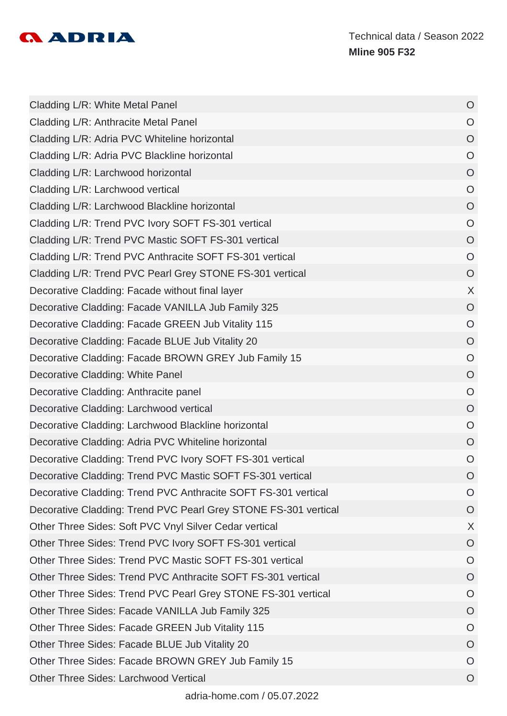

| Cladding L/R: White Metal Panel                                 | $\circ$        |
|-----------------------------------------------------------------|----------------|
| Cladding L/R: Anthracite Metal Panel                            | $\circ$        |
| Cladding L/R: Adria PVC Whiteline horizontal                    | $\circ$        |
| Cladding L/R: Adria PVC Blackline horizontal                    | $\circ$        |
| Cladding L/R: Larchwood horizontal                              | $\circ$        |
| Cladding L/R: Larchwood vertical                                | $\circ$        |
| Cladding L/R: Larchwood Blackline horizontal                    | $\circ$        |
| Cladding L/R: Trend PVC Ivory SOFT FS-301 vertical              | $\overline{O}$ |
| Cladding L/R: Trend PVC Mastic SOFT FS-301 vertical             | $\circ$        |
| Cladding L/R: Trend PVC Anthracite SOFT FS-301 vertical         | $\circ$        |
| Cladding L/R: Trend PVC Pearl Grey STONE FS-301 vertical        | $\circ$        |
| Decorative Cladding: Facade without final layer                 | X              |
| Decorative Cladding: Facade VANILLA Jub Family 325              | $\overline{O}$ |
| Decorative Cladding: Facade GREEN Jub Vitality 115              | $\overline{O}$ |
| Decorative Cladding: Facade BLUE Jub Vitality 20                | $\circ$        |
| Decorative Cladding: Facade BROWN GREY Jub Family 15            | $\circ$        |
| Decorative Cladding: White Panel                                | $\circ$        |
| Decorative Cladding: Anthracite panel                           | $\circ$        |
| Decorative Cladding: Larchwood vertical                         | $\circ$        |
| Decorative Cladding: Larchwood Blackline horizontal             | $\overline{O}$ |
| Decorative Cladding: Adria PVC Whiteline horizontal             | $\overline{O}$ |
| Decorative Cladding: Trend PVC Ivory SOFT FS-301 vertical       | O              |
| Decorative Cladding: Trend PVC Mastic SOFT FS-301 vertical      | $\circ$        |
| Decorative Cladding: Trend PVC Anthracite SOFT FS-301 vertical  | O              |
| Decorative Cladding: Trend PVC Pearl Grey STONE FS-301 vertical | O              |
| Other Three Sides: Soft PVC Vnyl Silver Cedar vertical          | X              |
| Other Three Sides: Trend PVC Ivory SOFT FS-301 vertical         | $\overline{O}$ |
| Other Three Sides: Trend PVC Mastic SOFT FS-301 vertical        | $\circ$        |
| Other Three Sides: Trend PVC Anthracite SOFT FS-301 vertical    | O              |
| Other Three Sides: Trend PVC Pearl Grey STONE FS-301 vertical   | $\circ$        |
| Other Three Sides: Facade VANILLA Jub Family 325                | $\circ$        |
| Other Three Sides: Facade GREEN Jub Vitality 115                | O              |
| Other Three Sides: Facade BLUE Jub Vitality 20                  | O              |
| Other Three Sides: Facade BROWN GREY Jub Family 15              | O              |
| <b>Other Three Sides: Larchwood Vertical</b>                    | O              |
|                                                                 |                |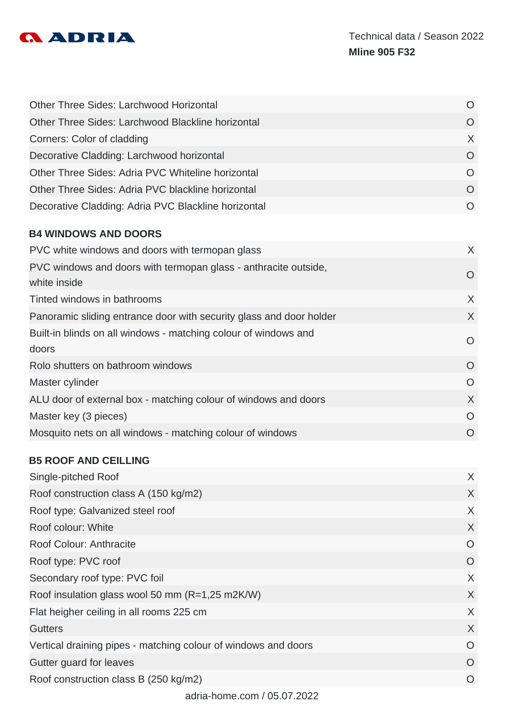

| <b>Other Three Sides: Larchwood Horizontal</b>      | O        |
|-----------------------------------------------------|----------|
| Other Three Sides: Larchwood Blackline horizontal   | $\Omega$ |
| Corners: Color of cladding                          | X        |
| Decorative Cladding: Larchwood horizontal           | $\Omega$ |
| Other Three Sides: Adria PVC Whiteline horizontal   | $\Omega$ |
| Other Three Sides: Adria PVC blackline horizontal   | $\Omega$ |
| Decorative Cladding: Adria PVC Blackline horizontal |          |

## **B4 WINDOWS AND DOORS**

| PVC white windows and doors with termopan glass                     | $\chi$         |
|---------------------------------------------------------------------|----------------|
| PVC windows and doors with termopan glass - anthracite outside,     | O              |
| white inside                                                        |                |
| Tinted windows in bathrooms                                         | $\chi$         |
| Panoramic sliding entrance door with security glass and door holder | $\chi$         |
| Built-in blinds on all windows - matching colour of windows and     |                |
| doors                                                               | $\overline{O}$ |
| Rolo shutters on bathroom windows                                   | $\Omega$       |
| Master cylinder                                                     | $\overline{O}$ |
| ALU door of external box - matching colour of windows and doors     | $\chi$         |
| Master key (3 pieces)                                               | $\overline{O}$ |
| Mosquito nets on all windows - matching colour of windows           | $\Omega$       |
|                                                                     |                |

## **B5 ROOF AND CEILLING**

| Single-pitched Roof                                            | $\sf X$  |
|----------------------------------------------------------------|----------|
| Roof construction class A (150 kg/m2)                          | X        |
| Roof type: Galvanized steel roof                               | X        |
| Roof colour: White                                             | X        |
| Roof Colour: Anthracite                                        | O        |
| Roof type: PVC roof                                            | O        |
| Secondary roof type: PVC foil                                  | X        |
| Roof insulation glass wool 50 mm (R=1,25 m2K/W)                | X        |
| Flat heigher ceiling in all rooms 225 cm                       | X        |
| <b>Gutters</b>                                                 | X        |
| Vertical draining pipes - matching colour of windows and doors | $\Omega$ |
| Gutter guard for leaves                                        | $\Omega$ |
| Roof construction class B (250 kg/m2)                          | $\Omega$ |
|                                                                |          |

adria-home.com / 05.07.2022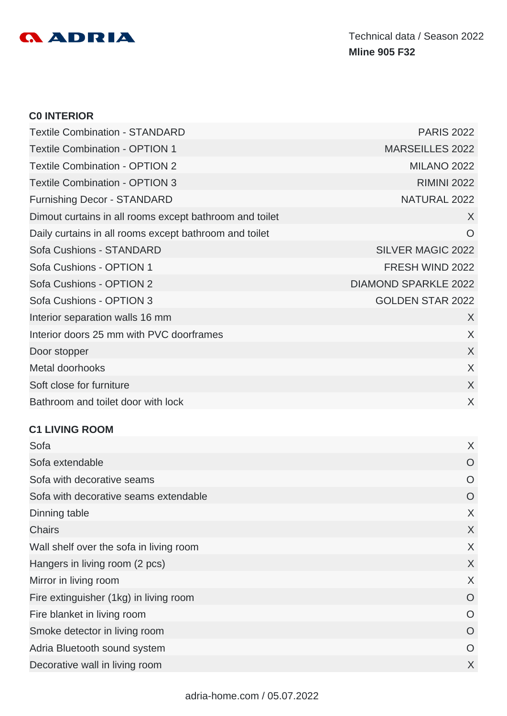

#### **C0 INTERIOR**

| <b>Textile Combination - STANDARD</b>                   | <b>PARIS 2022</b>           |
|---------------------------------------------------------|-----------------------------|
| <b>Textile Combination - OPTION 1</b>                   | <b>MARSEILLES 2022</b>      |
| <b>Textile Combination - OPTION 2</b>                   | <b>MILANO 2022</b>          |
| <b>Textile Combination - OPTION 3</b>                   | <b>RIMINI 2022</b>          |
| <b>Furnishing Decor - STANDARD</b>                      | NATURAL 2022                |
| Dimout curtains in all rooms except bathroom and toilet | X                           |
| Daily curtains in all rooms except bathroom and toilet  | $\circ$                     |
| Sofa Cushions - STANDARD                                | <b>SILVER MAGIC 2022</b>    |
| Sofa Cushions - OPTION 1                                | FRESH WIND 2022             |
| Sofa Cushions - OPTION 2                                | <b>DIAMOND SPARKLE 2022</b> |
| Sofa Cushions - OPTION 3                                | <b>GOLDEN STAR 2022</b>     |
| Interior separation walls 16 mm                         | $\chi$                      |
| Interior doors 25 mm with PVC doorframes                | X                           |
| Door stopper                                            | X                           |
| Metal doorhooks                                         | X                           |
| Soft close for furniture                                | X                           |
| Bathroom and toilet door with lock                      | X                           |

#### **C1 LIVING ROOM**

| Sofa                                    | X |
|-----------------------------------------|---|
| Sofa extendable                         | O |
| Sofa with decorative seams              | O |
| Sofa with decorative seams extendable   | O |
| Dinning table                           | X |
| <b>Chairs</b>                           | X |
| Wall shelf over the sofa in living room | X |
| Hangers in living room (2 pcs)          | X |
| Mirror in living room                   | X |
| Fire extinguisher (1kg) in living room  | O |
| Fire blanket in living room             | O |
| Smoke detector in living room           | O |
| Adria Bluetooth sound system            | O |
| Decorative wall in living room          | X |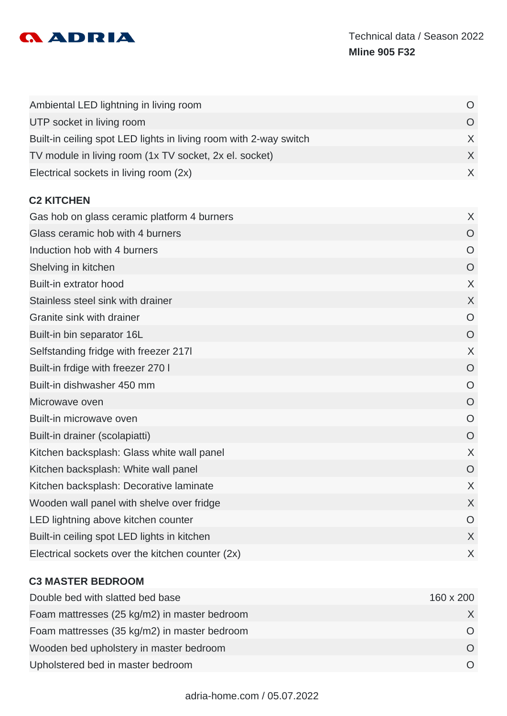

| Ambiental LED lightning in living room                            | O              |
|-------------------------------------------------------------------|----------------|
| UTP socket in living room                                         | $\overline{O}$ |
| Built-in ceiling spot LED lights in living room with 2-way switch | X              |
| TV module in living room (1x TV socket, 2x el. socket)            | $\sf X$        |
| Electrical sockets in living room (2x)                            | $\sf X$        |
| <b>C2 KITCHEN</b>                                                 |                |
| Gas hob on glass ceramic platform 4 burners                       | X              |
| Glass ceramic hob with 4 burners                                  | $\overline{O}$ |
| Induction hob with 4 burners                                      | O              |
| Shelving in kitchen                                               | $\circ$        |
| Built-in extrator hood                                            | X              |
| Stainless steel sink with drainer                                 | X              |
| Granite sink with drainer                                         | $\circ$        |
| Built-in bin separator 16L                                        | $\circ$        |
| Selfstanding fridge with freezer 2171                             | X              |
| Built-in frdige with freezer 270 I                                | $\overline{O}$ |
| Built-in dishwasher 450 mm                                        | O              |
| Microwave oven                                                    | O              |
| Built-in microwave oven                                           | $\circ$        |
| Built-in drainer (scolapiatti)                                    | $\circ$        |
| Kitchen backsplash: Glass white wall panel                        | X              |
| Kitchen backsplash: White wall panel                              | O              |
| Kitchen backsplash: Decorative laminate                           | X              |
| Wooden wall panel with shelve over fridge                         | X              |
| LED lightning above kitchen counter                               | O              |
| Built-in ceiling spot LED lights in kitchen                       | X              |
| Electrical sockets over the kitchen counter (2x)                  | X              |

#### **C3 MASTER BEDROOM**

| Double bed with slatted bed base             | 160 x 200 |
|----------------------------------------------|-----------|
| Foam mattresses (25 kg/m2) in master bedroom |           |
| Foam mattresses (35 kg/m2) in master bedroom |           |
| Wooden bed upholstery in master bedroom      |           |
| Upholstered bed in master bedroom            |           |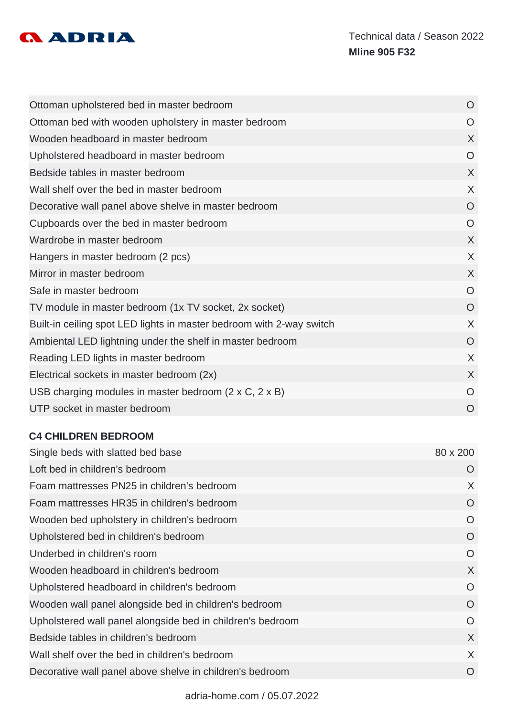

| Ottoman upholstered bed in master bedroom                            | $\overline{O}$ |
|----------------------------------------------------------------------|----------------|
| Ottoman bed with wooden upholstery in master bedroom                 | O              |
| Wooden headboard in master bedroom                                   | X              |
| Upholstered headboard in master bedroom                              | $\circ$        |
| Bedside tables in master bedroom                                     | X              |
| Wall shelf over the bed in master bedroom                            | X              |
| Decorative wall panel above shelve in master bedroom                 | $\overline{O}$ |
| Cupboards over the bed in master bedroom                             | $\circ$        |
| Wardrobe in master bedroom                                           | X              |
| Hangers in master bedroom (2 pcs)                                    | X              |
| Mirror in master bedroom                                             | X              |
| Safe in master bedroom                                               | O              |
| TV module in master bedroom (1x TV socket, 2x socket)                | $\overline{O}$ |
| Built-in ceiling spot LED lights in master bedroom with 2-way switch | X              |
| Ambiental LED lightning under the shelf in master bedroom            | O              |
| Reading LED lights in master bedroom                                 | X              |
| Electrical sockets in master bedroom (2x)                            | X              |
| USB charging modules in master bedroom $(2 \times C, 2 \times B)$    | $\Omega$       |
| UTP socket in master bedroom                                         | O              |

#### **C4 CHILDREN BEDROOM**

| Single beds with slatted bed base                          | 80 x 200 |
|------------------------------------------------------------|----------|
| Loft bed in children's bedroom                             | O        |
| Foam mattresses PN25 in children's bedroom                 | X        |
| Foam mattresses HR35 in children's bedroom                 | $\circ$  |
| Wooden bed upholstery in children's bedroom                | O        |
| Upholstered bed in children's bedroom                      | O        |
| Underbed in children's room                                | O        |
| Wooden headboard in children's bedroom                     | X        |
| Upholstered headboard in children's bedroom                | O        |
| Wooden wall panel alongside bed in children's bedroom      | O        |
| Upholstered wall panel alongside bed in children's bedroom | O        |
| Bedside tables in children's bedroom                       | X        |
| Wall shelf over the bed in children's bedroom              | X        |
| Decorative wall panel above shelve in children's bedroom   | O        |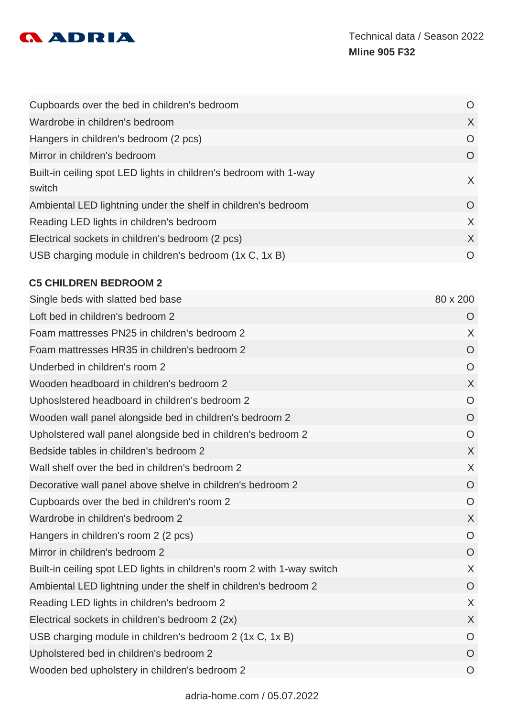

| Cupboards over the bed in children's bedroom                                | O              |
|-----------------------------------------------------------------------------|----------------|
| Wardrobe in children's bedroom                                              | X              |
| Hangers in children's bedroom (2 pcs)                                       | O              |
| Mirror in children's bedroom                                                | $\overline{O}$ |
| Built-in ceiling spot LED lights in children's bedroom with 1-way<br>switch | $\times$       |
| Ambiental LED lightning under the shelf in children's bedroom               | $\overline{O}$ |
| Reading LED lights in children's bedroom                                    | $\chi$         |
| Electrical sockets in children's bedroom (2 pcs)                            | $\chi$         |
| USB charging module in children's bedroom (1x C, 1x B)                      | O              |

#### **C5 CHILDREN BEDROOM 2**

| Single beds with slatted bed base                                       | 80 x 200       |
|-------------------------------------------------------------------------|----------------|
| Loft bed in children's bedroom 2                                        | $\circ$        |
| Foam mattresses PN25 in children's bedroom 2                            | $\sf X$        |
| Foam mattresses HR35 in children's bedroom 2                            | $\circ$        |
| Underbed in children's room 2                                           | $\circ$        |
| Wooden headboard in children's bedroom 2                                | $\chi$         |
| Uphosistered headboard in children's bedroom 2                          | O              |
| Wooden wall panel alongside bed in children's bedroom 2                 | $\overline{O}$ |
| Upholstered wall panel alongside bed in children's bedroom 2            | $\overline{O}$ |
| Bedside tables in children's bedroom 2                                  | $\chi$         |
| Wall shelf over the bed in children's bedroom 2                         | $\sf X$        |
| Decorative wall panel above shelve in children's bedroom 2              | $\overline{O}$ |
| Cupboards over the bed in children's room 2                             | O              |
| Wardrobe in children's bedroom 2                                        | $\sf X$        |
| Hangers in children's room 2 (2 pcs)                                    | $\circ$        |
| Mirror in children's bedroom 2                                          | $\overline{O}$ |
| Built-in ceiling spot LED lights in children's room 2 with 1-way switch | $\sf X$        |
| Ambiental LED lightning under the shelf in children's bedroom 2         | $\overline{O}$ |
| Reading LED lights in children's bedroom 2                              | $\sf X$        |
| Electrical sockets in children's bedroom 2 (2x)                         | $\sf X$        |
| USB charging module in children's bedroom 2 (1x C, 1x B)                | $\overline{O}$ |
| Upholstered bed in children's bedroom 2                                 | $\circ$        |
| Wooden bed upholstery in children's bedroom 2                           | $\circ$        |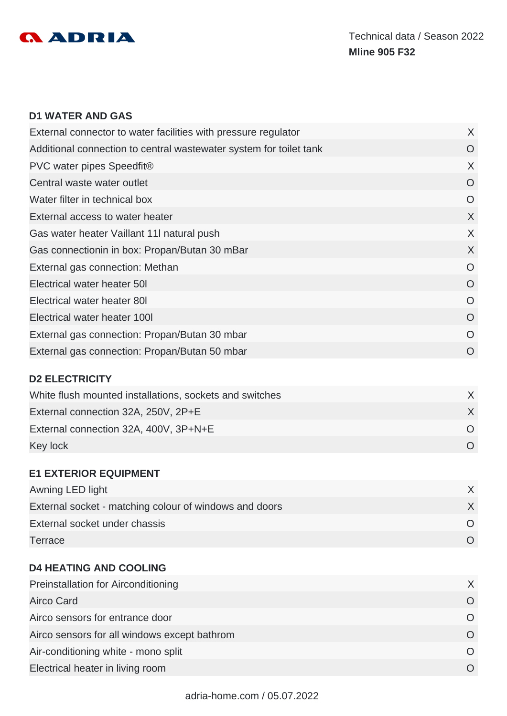

#### **D1 WATER AND GAS**

| External connector to water facilities with pressure regulator     | X        |
|--------------------------------------------------------------------|----------|
| Additional connection to central wastewater system for toilet tank | O        |
| PVC water pipes Speedfit®                                          | X        |
| Central waste water outlet                                         | O        |
| Water filter in technical box                                      | $\Omega$ |
| External access to water heater                                    | X        |
| Gas water heater Vaillant 11 natural push                          | X        |
| Gas connectionin in box: Propan/Butan 30 mBar                      | X        |
| External gas connection: Methan                                    | O        |
| Electrical water heater 50I                                        | $\Omega$ |
| Electrical water heater 801                                        | $\Omega$ |
| Electrical water heater 100I                                       | O        |
| External gas connection: Propan/Butan 30 mbar                      | $\Omega$ |
| External gas connection: Propan/Butan 50 mbar                      | O        |
|                                                                    |          |

#### **D2 ELECTRICITY**

| White flush mounted installations, sockets and switches |  |
|---------------------------------------------------------|--|
| External connection 32A, 250V, 2P+E                     |  |
| External connection 32A, 400V, 3P+N+E                   |  |
| Key lock                                                |  |

#### **E1 EXTERIOR EQUIPMENT**

| Awning LED light                                       |  |
|--------------------------------------------------------|--|
| External socket - matching colour of windows and doors |  |
| External socket under chassis                          |  |
| Terrace                                                |  |

#### **D4 HEATING AND COOLING**

| <b>Preinstallation for Airconditioning</b>   |          |
|----------------------------------------------|----------|
| Airco Card                                   |          |
| Airco sensors for entrance door              | $\Omega$ |
| Airco sensors for all windows except bathrom | $\Omega$ |
| Air-conditioning white - mono split          |          |
| Electrical heater in living room             |          |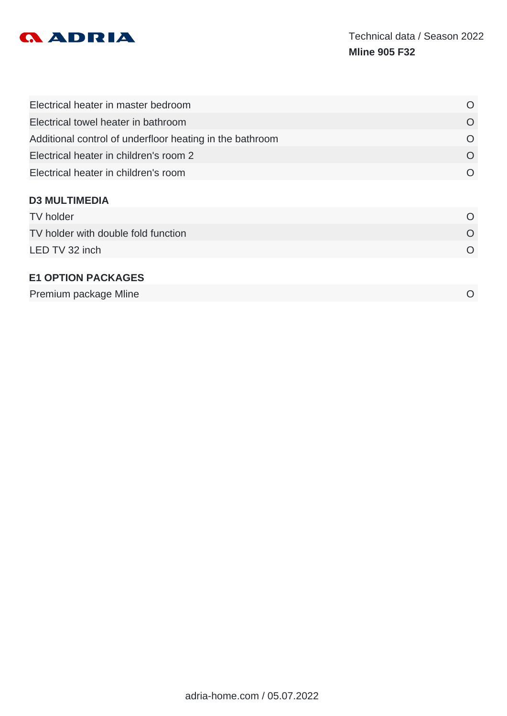

| O         |
|-----------|
| O         |
| O         |
| O         |
| $\Omega$  |
|           |
| O         |
| $\Omega$  |
| $\Omega$  |
|           |
| $\bigcap$ |
|           |